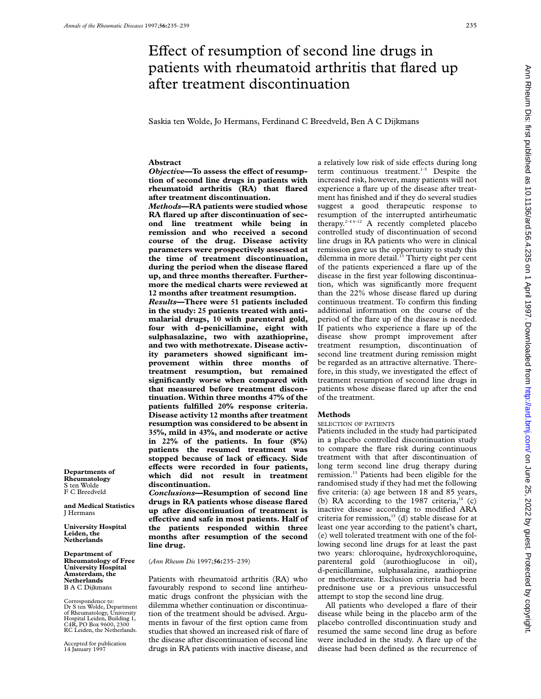# Effect of resumption of second line drugs in patients with rheumatoid arthritis that flared up after treatment discontinuation

Saskia ten Wolde, Jo Hermans, Ferdinand C Breedveld, Ben A C Dijkmans

## **Abstract**

**Objective–To assess the effect of resumption of second line drugs in patients with rheumatoid arthritis (RA) that flared after treatment discontinuation.**

*Methods***—RA patients were studied whose RA flared up after discontinuation of second line treatment while being in remission and who received a second course of the drug. Disease activity parameters were prospectively assessed at the time of treatment discontinuation, during the period when the disease flared up, and three months thereafter. Furthermore the medical charts were reviewed at 12 months after treatment resumption.**

*Results***—There were 51 patients included in the study: 25 patients treated with antimalarial drugs, 10 with parenteral gold, four with d-penicillamine, eight with sulphasalazine, two with azathioprine, and two with methotrexate. Disease activity parameters showed significant improvement within three months of treatment resumption, but remained significantly worse when compared with that measured before treatment discontinuation. Within three months 47% of the patients fulfilled 20% response criteria. Disease activity 12 months after treatment resumption was considered to be absent in 35%, mild in 43%, and moderate or active in 22% of the patients. In four (8%) patients the resumed treatment was** stopped because of lack of efficacy. Side **eVects were recorded in four patients, which did not result in treatment discontinuation.**

*Conclusions***—Resumption of second line drugs in RA patients whose disease flared up after discontinuation of treatment is eVective and safe in most patients. Half of the patients responded within three months after resumption of the second line drug.**

(*Ann Rheum Dis* 1997;**56:**235–239)

Patients with rheumatoid arthritis (RA) who favourably respond to second line antirheumatic drugs confront the physician with the dilemma whether continuation or discontinuation of the treatment should be advised. Arguments in favour of the first option came from studies that showed an increased risk of flare of the disease after discontinuation of second line drugs in RA patients with inactive disease, and

a relatively low risk of side effects during long term continuous treatment.<sup>1-5</sup> Despite the increased risk, however, many patients will not experience a flare up of the disease after treatment has finished and if they do several studies suggest a good therapeutic response to resumption of the interrupted antirheumatic therapy.<sup>2-4 6-12</sup> A recently completed placebo controlled study of discontinuation of second line drugs in RA patients who were in clinical remission gave us the opportunity to study this dilemma in more detail.<sup>13</sup> Thirty eight per cent of the patients experienced a flare up of the disease in the first year following discontinuation, which was significantly more frequent than the 22% whose disease flared up during continuous treatment. To confirm this finding additional information on the course of the period of the flare up of the disease is needed. If patients who experience a flare up of the disease show prompt improvement after treatment resumption, discontinuation of second line treatment during remission might be regarded as an attractive alternative. Therefore, in this study, we investigated the effect of treatment resumption of second line drugs in patients whose disease flared up after the end of the treatment.

## **Methods**

#### SELECTION OF PATIENTS

Patients included in the study had participated in a placebo controlled discontinuation study to compare the flare risk during continuous treatment with that after discontinuation of long term second line drug therapy during remission.13 Patients had been eligible for the randomised study if they had met the following five criteria: (a) age between 18 and 85 years, (b) RA according to the 1987 criteria, $14$  (c) inactive disease according to modified ARA criteria for remission, $15$  (d) stable disease for at least one year according to the patient's chart, (e) well tolerated treatment with one of the following second line drugs for at least the past two years: chloroquine, hydroxychloroquine, parenteral gold (aurothioglucose in oil), d-penicillamine, sulphasalazine, azathioprine or methotrexate. Exclusion criteria had been prednisone use or a previous unsuccessful attempt to stop the second line drug.

All patients who developed a flare of their disease while being in the placebo arm of the placebo controlled discontinuation study and resumed the same second line drug as before were included in the study. A flare up of the disease had been defined as the recurrence of

**Departments of Rheumatology** S ten Wolde F C Breedveld

**and Medical Statistics** J Hermans

**University Hospital Leiden, the Netherlands**

**Department of Rheumatology of Free University Hospital Amsterdam, the Netherlands** B A C Dijkmans

Correspondence to: Dr S ten Wolde, Department of Rheumatology, University Hospital Leiden, Building 1, C4R, PO Box 9600, 2300 RC Leiden, the Netherlands.

Accepted for publication 14 January 1997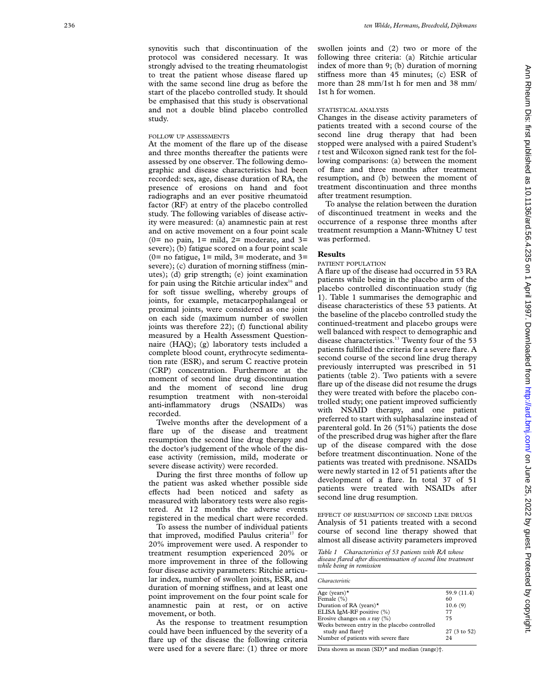synovitis such that discontinuation of the protocol was considered necessary. It was strongly advised to the treating rheumatologist to treat the patient whose disease flared up with the same second line drug as before the start of the placebo controlled study. It should be emphasised that this study is observational and not a double blind placebo controlled study.

## FOLLOW UP ASSESSMENTS

At the moment of the flare up of the disease and three months thereafter the patients were assessed by one observer. The following demographic and disease characteristics had been recorded: sex, age, disease duration of RA, the presence of erosions on hand and foot radiographs and an ever positive rheumatoid factor (RF) at entry of the placebo controlled study. The following variables of disease activity were measured: (a) anamnestic pain at rest and on active movement on a four point scale  $(0=$  no pain,  $1=$  mild,  $2=$  moderate, and  $3=$ severe); (b) fatigue scored on a four point scale ( $0=$  no fatigue,  $1=$  mild,  $3=$  moderate, and  $3=$ severe); (c) duration of morning stiffness (minutes); (d) grip strength; (e) joint examination for pain using the Ritchie articular index $16$  and for soft tissue swelling, whereby groups of joints, for example, metacarpophalangeal or proximal joints, were considered as one joint on each side (maximum number of swollen joints was therefore 22); (f) functional ability measured by a Health Assessment Questionnaire (HAQ); (g) laboratory tests included a complete blood count, erythrocyte sedimentation rate (ESR), and serum C reactive protein (CRP) concentration. Furthermore at the moment of second line drug discontinuation and the moment of second line drug resumption treatment with non-steroidal anti-inflammatory drugs (NSAIDs) was recorded.

Twelve months after the development of a flare up of the disease and treatment resumption the second line drug therapy and the doctor's judgement of the whole of the disease activity (remission, mild, moderate or severe disease activity) were recorded.

During the first three months of follow up the patient was asked whether possible side effects had been noticed and safety as measured with laboratory tests were also registered. At 12 months the adverse events registered in the medical chart were recorded.

To assess the number of individual patients that improved, modified Paulus criteria<sup>17</sup> for 20% improvement were used. A responder to treatment resumption experienced 20% or more improvement in three of the following four disease activity parameters: Ritchie articular index, number of swollen joints, ESR, and duration of morning stiffness, and at least one point improvement on the four point scale for anamnestic pain at rest, or on active movement, or both.

As the response to treatment resumption could have been influenced by the severity of a flare up of the disease the following criteria were used for a severe flare: (1) three or more swollen joints and (2) two or more of the following three criteria: (a) Ritchie articular index of more than 9; (b) duration of morning stiffness more than 45 minutes; (c) ESR of more than 28 mm/1st h for men and 38 mm/ 1st h for women.

#### STATISTICAL ANALYSIS

Changes in the disease activity parameters of patients treated with a second course of the second line drug therapy that had been stopped were analysed with a paired Student's *t* test and Wilcoxon signed rank test for the following comparisons: (a) between the moment of flare and three months after treatment resumption, and (b) between the moment of treatment discontinuation and three months after treatment resumption.

To analyse the relation between the duration of discontinued treatment in weeks and the occurrence of a response three months after treatment resumption a Mann-Whitney U test was performed.

# **Results**

## PATIENT POPULATION

A flare up of the disease had occurred in 53 RA patients while being in the placebo arm of the placebo controlled discontinuation study (fig 1). Table 1 summarises the demographic and disease characteristics of these 53 patients. At the baseline of the placebo controlled study the continued-treatment and placebo groups were well balanced with respect to demographic and disease characteristics.<sup>13</sup> Twenty four of the 53 patients fulfilled the criteria for a severe flare. A second course of the second line drug therapy previously interrupted was prescribed in 51 patients (table 2). Two patients with a severe flare up of the disease did not resume the drugs they were treated with before the placebo controlled study; one patient improved sufficiently with NSAID therapy, and one patient preferred to start with sulphasalazine instead of parenteral gold. In 26 (51%) patients the dose of the prescribed drug was higher after the flare up of the disease compared with the dose before treatment discontinuation. None of the patients was treated with prednisone. NSAIDs were newly started in 12 of 51 patients after the development of a flare. In total 37 of 51 patients were treated with NSAIDs after second line drug resumption.

EFFECT OF RESUMPTION OF SECOND LINE DRUGS Analysis of 51 patients treated with a second course of second line therapy showed that almost all disease activity parameters improved

*Table 1 Characteristics of 53 patients with RA whose disease flared after discontinuation of second line treatment while being in remission*

| Characteristic                                |              |
|-----------------------------------------------|--------------|
| Age (years) $\star$                           | 59.9 (11.4)  |
| Female (%)                                    | 60           |
| Duration of RA (years)*                       | 10.6(9)      |
| ELISA IgM-RF positive (%)                     | 77           |
| Erosive changes on x ray $(\%)$               | 75           |
| Weeks between entry in the placebo controlled |              |
| study and flare <sup>+</sup>                  | 27 (3 to 52) |
| Number of patients with severe flare          | 24           |

Data shown as mean (SD)\* and median (range)†.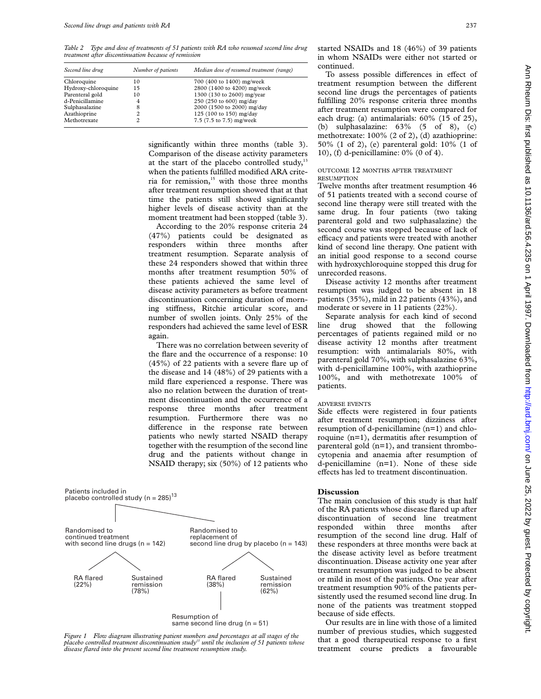*Table 2 Type and dose of treatments of 51 patients with RA who resumed second line drug treatment after discontinuation because of remission*

| Second line drug    | Number of patients | Median dose of resumed treatment (range) |  |  |  |
|---------------------|--------------------|------------------------------------------|--|--|--|
| Chloroquine         | 10                 | 700 (400 to 1400) mg/week                |  |  |  |
| Hydroxy-chloroquine | 15                 | 2800 (1400 to 4200) mg/week              |  |  |  |
| Parenteral gold     | 10                 | 1300 (130 to 2600) mg/year               |  |  |  |
| d-Penicillamine     | 4                  | 250 (250 to 600) mg/day                  |  |  |  |
| Sulphasalazine      | 8                  | 2000 (1500 to 2000) mg/day               |  |  |  |
| Azathioprine        | 2                  | 125 (100 to 150) mg/day                  |  |  |  |
| Methotrexate        | 2                  | 7.5 (7.5 to 7.5) mg/week                 |  |  |  |

significantly within three months (table 3). Comparison of the disease activity parameters at the start of the placebo controlled study, $13$ when the patients fulfilled modified ARA criteria for remission, $15$  with those three months after treatment resumption showed that at that time the patients still showed significantly higher levels of disease activity than at the moment treatment had been stopped (table 3).

According to the 20% response criteria 24 (47%) patients could be designated as responders within three months after treatment resumption. Separate analysis of these 24 responders showed that within three months after treatment resumption 50% of these patients achieved the same level of disease activity parameters as before treatment discontinuation concerning duration of morning stiffness, Ritchie articular score, and number of swollen joints. Only 25% of the responders had achieved the same level of ESR again.

There was no correlation between severity of the flare and the occurrence of a response: 10 (45%) of 22 patients with a severe flare up of the disease and 14 (48%) of 29 patients with a mild flare experienced a response. There was also no relation between the duration of treatment discontinuation and the occurrence of a response three months after treatment resumption. Furthermore there was no difference in the response rate between patients who newly started NSAID therapy together with the resumption of the second line drug and the patients without change in NSAID therapy; six (50%) of 12 patients who



*Figure 1 Flow diagram illustrating patient numbers and percentages at all stages of the placebo controlled treatment discontinuation study13 until the inclusion of 51 patients whose disease flared into the present second line treatment resumption study.*

started NSAIDs and 18 (46%) of 39 patients in whom NSAIDs were either not started or continued.

To assess possible differences in effect of treatment resumption between the different second line drugs the percentages of patients fulfilling 20% response criteria three months after treatment resumption were compared for each drug: (a) antimalarials: 60% (15 of 25), (b) sulphasalazine: 63% (5 of 8), (c) methotrexate: 100% (2 of 2), (d) azathioprine: 50% (1 of 2), (e) parenteral gold: 10% (1 of 10), (f) d-penicillamine: 0% (0 of 4).

# OUTCOME 12 MONTHS AFTER TREATMENT **RESUMPTION**

Twelve months after treatment resumption 46 of 51 patients treated with a second course of second line therapy were still treated with the same drug. In four patients (two taking parenteral gold and two sulphasalazine) the second course was stopped because of lack of efficacy and patients were treated with another kind of second line therapy. One patient with an initial good response to a second course with hydroxychloroquine stopped this drug for unrecorded reasons.

Disease activity 12 months after treatment resumption was judged to be absent in 18 patients (35%), mild in 22 patients (43%), and moderate or severe in 11 patients (22%).

Separate analysis for each kind of second line drug showed that the following percentages of patients regained mild or no disease activity 12 months after treatment resumption: with antimalarials 80%, with parenteral gold 70%, with sulphasalazine 63%, with d-penicillamine 100%, with azathioprine 100%, and with methotrexate 100% of patients.

## ADVERSE EVENTS

Side effects were registered in four patients after treatment resumption; dizziness after resumption of d-penicillamine (n=1) and chloroquine (n=1), dermatitis after resumption of parenteral gold (n=1), and transient thrombocytopenia and anaemia after resumption of d-penicillamine (n=1). None of these side effects has led to treatment discontinuation.

## **Discussion**

The main conclusion of this study is that half of the RA patients whose disease flared up after discontinuation of second line treatment responded within three months after resumption of the second line drug. Half of these responders at three months were back at the disease activity level as before treatment discontinuation. Disease activity one year after treatment resumption was judged to be absent or mild in most of the patients. One year after treatment resumption 90% of the patients persistently used the resumed second line drug. In none of the patients was treatment stopped because of side effects.

Our results are in line with those of a limited number of previous studies, which suggested that a good therapeutical response to a first treatment course predicts a favourable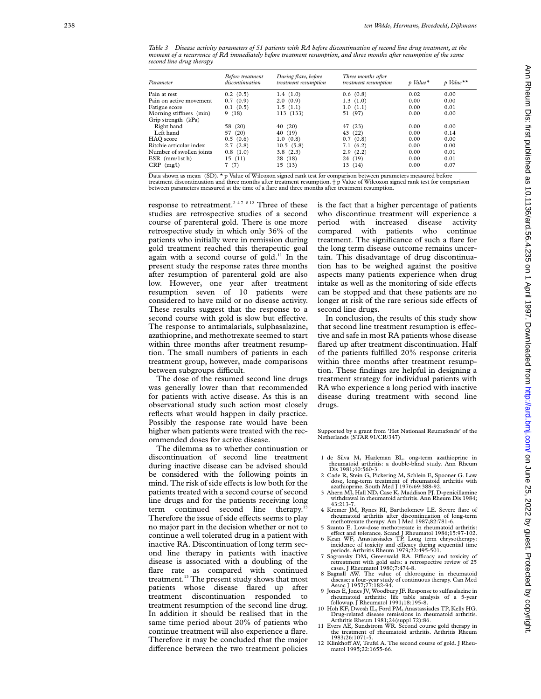| Table 3 Disease activity parameters of 51 patients with RA before discontinuation of second line drug treatment, at the |  |  |  |  |
|-------------------------------------------------------------------------------------------------------------------------|--|--|--|--|
| moment of a recurrence of RA immediately before treatment resumption, and three months after resumption of the same     |  |  |  |  |
| second line drug therapy                                                                                                |  |  |  |  |

| 0.00 |
|------|
|      |
| 0.00 |
| 0.01 |
| 0.00 |
|      |
| 0.00 |
| 0.14 |
| 0.00 |
| 0.00 |
| 0.01 |
| 0.01 |
| 0.07 |
|      |

Data shown as mean (SD). \* p Value of Wilcoxon signed rank test for comparison between parameters measured before<br>treatment discontinuation and three months after treatment resumption. † p Value of Wilcoxon signed rank tes between parameters measured at the time of a flare and three months after treatment resumption.

response to retreatment.<sup>2-47 812</sup> Three of these studies are retrospective studies of a second course of parenteral gold. There is one more retrospective study in which only 36% of the patients who initially were in remission during gold treatment reached this therapeutic goal again with a second course of gold.<sup>11</sup> In the present study the response rates three months after resumption of parenteral gold are also low. However, one year after treatment resumption seven of 10 patients were considered to have mild or no disease activity. These results suggest that the response to a second course with gold is slow but effective. The response to antimalarials, sulphasalazine, azathioprine, and methotrexate seemed to start within three months after treatment resumption. The small numbers of patients in each treatment group, however, made comparisons between subgroups difficult.

The dose of the resumed second line drugs was generally lower than that recommended for patients with active disease. As this is an observational study such action most closely reflects what would happen in daily practice. Possibly the response rate would have been higher when patients were treated with the recommended doses for active disease.

The dilemma as to whether continuation or discontinuation of second line treatment during inactive disease can be advised should be considered with the following points in mind. The risk of side effects is low both for the patients treated with a second course of second line drugs and for the patients receiving long term continued second line therapy.<sup>13</sup> Therefore the issue of side effects seems to play no major part in the decision whether or not to continue a well tolerated drug in a patient with inactive RA. Discontinuation of long term second line therapy in patients with inactive disease is associated with a doubling of the flare rate as compared with continued treatment.<sup>13</sup> The present study shows that most patients whose disease flared up after treatment discontinuation responded to treatment resumption of the second line drug. In addition it should be realised that in the same time period about 20% of patients who continue treatment will also experience a flare. Therefore it may be concluded that the major difference between the two treatment policies

is the fact that a higher percentage of patients who discontinue treatment will experience a period with increased disease activity compared with patients who continue treatment. The significance of such a flare for the long term disease outcome remains uncertain. This disadvantage of drug discontinuation has to be weighed against the positive aspects many patients experience when drug intake as well as the monitoring of side effects can be stopped and that these patients are no longer at risk of the rare serious side effects of second line drugs.

In conclusion, the results of this study show that second line treatment resumption is effective and safe in most RA patients whose disease flared up after treatment discontinuation. Half of the patients fulfilled 20% response criteria within three months after treatment resumption. These findings are helpful in designing a treatment strategy for individual patients with RA who experience a long period with inactive disease during treatment with second line drugs.

Supported by a grant from 'Het Nationaal Reumafonds' of the Netherlands (STAR 91/CR/347)

- 1 de Silva M, Hazleman BL. ong-term azathioprine in rheumatoid arthritis: a double-blind study. Ann Rheum Dis 1981:40:560-3.
- 2 Cade R, Stein G, Pickering M, Schlein E, Spooner G. Low dose, long-term treatment of rheumatoid arthritis with azathioprine. South Med J 1976;69:388-92.
- 3 Ahern MJ, Hall ND, Case K, Maddison PJ. D-penicillamine withdrawal in rheumatoid arthritis. Ann Rheum Dis 1984; 43:213-7.
- Kremer JM, Rynes RI, Bartholomew LE. Severe flare of rheumatoid arthritis after discontinuation of long-term methotrexate therapy. Am J Med 1987;82:781-6.<br>5 Szanto E. Low-dose methotrexate in rheumatoid arthritis:
- 5 Szanto E. Low-dose methotrexate in rheumatoid arthritis:<br>effect and tolerance. Scand J Rheumatol 1986;15:97-102.<br>6 Kean WF, Anastassiades TP. Long term chrysotherapy:
- incidence of toxicity and efficacy during sequential time<br>periods. Arthritis Rheum 1979;22:495-501.
- 7 Sagransky DM, Greenwald RA. Efficacy and toxicity of retreatment with gold salts: a retrospective review of 25 cases. J Rheumatol 1980;7:474-8.
- 8 Bagnall AW. The value of chloroquine in rheumatoid disease: a four-year study of continuous therapy. Can Med Assoc J 1957;77:182-94.
- 9 Jones E, Jones JV, Woodbury JF. Response to sulfasalazine in
- rheumatoid arthritis: life table analysis of a 5-year followup. J Rheumatol 1991;18:195-8. 10 Hoh KF, Dwosh IL, Ford PM, Anastassiades TP, Kelly HG. Drug-related disease remissions in rheumatoid arthritis. Arthritis Rheum 1981;24(suppl 72):86.
- 11 Evers AE, Sundstrom WR. Second course gold therapy in the treatment of rheumatoid arthritis. Arthritis Rheum 1983;26:1071-5.
- 12 Klinkhoff AV, Teufel A. The second course of gold. J Rheumatol 1995;22:1655-66.